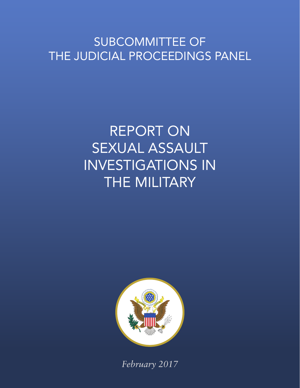# SUBCOMMITTEE OF THE JUDICIAL PROCEEDINGS PANEL

# REPORT ON SEXUAL ASSAULT INVESTIGATIONS IN THE MILITARY



*February 2017*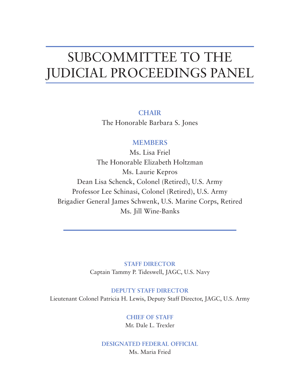# SUBCOMMITTEE TO THE JUDICIAL PROCEEDINGS PANEL

**CHAIR** The Honorable Barbara S. Jones

# **MEMBERS**

Ms. Lisa Friel The Honorable Elizabeth Holtzman Ms. Laurie Kepros Dean Lisa Schenck, Colonel (Retired), U.S. Army Professor Lee Schinasi, Colonel (Retired), U.S. Army Brigadier General James Schwenk, U.S. Marine Corps, Retired Ms. Jill Wine-Banks

> **STAFF DIRECTOR** Captain Tammy P. Tideswell, JAGC, U.S. Navy

### **DEPUTY STAFF DIRECTOR**

Lieutenant Colonel Patricia H. Lewis, Deputy Staff Director, JAGC, U.S. Army

# **CHIEF OF STAFF** Mr. Dale L. Trexler

## **DESIGNATED FEDERAL OFFICIAL** Ms. Maria Fried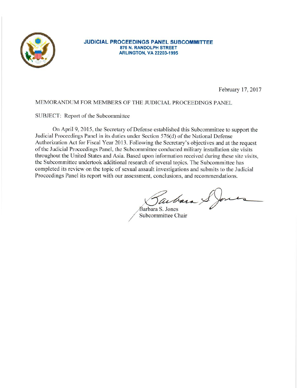

#### **JUDICIAL PROCEEDINGS PANEL SUBCOMMITTEE** 875 N. RANDOLPH STREET **ARLINGTON, VA 22203-1995**

February 17, 2017

#### MEMORANDUM FOR MEMBERS OF THE JUDICIAL PROCEEDINGS PANEL

#### SUBJECT: Report of the Subcommittee

On April 9, 2015, the Secretary of Defense established this Subcommittee to support the Judicial Proceedings Panel in its duties under Section 576(d) of the National Defense Authorization Act for Fiscal Year 2013. Following the Secretary's objectives and at the request of the Judicial Proceedings Panel, the Subcommittee conducted military installation site visits throughout the United States and Asia. Based upon information received during these site visits, the Subcommittee undertook additional research of several topics. The Subcommittee has completed its review on the topic of sexual assault investigations and submits to the Judicial Proceedings Panel its report with our assessment, conclusions, and recommendations.

arbara

Barbara S. Jones Subcommittee Chair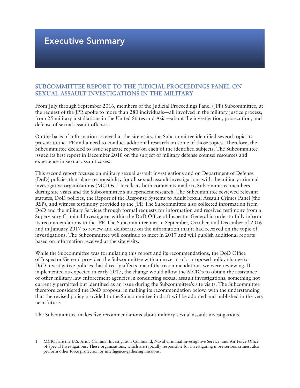# Executive Summary

## **SUBCOMMITTEE REPORT TO THE JUDICIAL PROCEEDINGS PANEL ON SEXUAL ASSAULT INVESTIGATIONS IN THE MILITARY**

From July through September 2016, members of the Judicial Proceedings Panel (JPP) Subcommittee, at the request of the JPP, spoke to more than 280 individuals—all involved in the military justice process, from 25 military installations in the United States and Asia—about the investigation, prosecution, and defense of sexual assault offenses.

On the basis of information received at the site visits, the Subcommittee identified several topics to present to the JPP and a need to conduct additional research on some of those topics. Therefore, the Subcommittee decided to issue separate reports on each of the identified subjects. The Subcommittee issued its first report in December 2016 on the subject of military defense counsel resources and experience in sexual assault cases.

This second report focuses on military sexual assault investigations and on Department of Defense (DoD) policies that place responsibility for all sexual assault investigations with the military criminal investigative organizations (MCIOs).<sup>1</sup> It reflects both comments made to Subcommittee members during site visits and the Subcommittee's independent research. The Subcommittee reviewed relevant statutes, DoD policies, the Report of the Response Systems to Adult Sexual Assault Crimes Panel (the RSP), and witness testimony provided to the JPP. The Subcommittee also collected information from DoD and the military Services through formal requests for information and received testimony from a Supervisory Criminal Investigator within the DoD Office of Inspector General in order to fully inform its recommendations to the JPP. The Subcommittee met in September, October, and December of 2016 and in January 2017 to review and deliberate on the information that it had received on the topic of investigations. The Subcommittee will continue to meet in 2017 and will publish additional reports based on information received at the site visits.

While the Subcommittee was formulating this report and its recommendations, the DoD Office of Inspector General provided the Subcommittee with an excerpt of a proposed policy change to DoD investigative policies that directly affects one of the recommendations we were reviewing. If implemented as expected in early 2017, the change would allow the MCIOs to obtain the assistance of other military law enforcement agencies in conducting sexual assault investigations, something not currently permitted but identified as an issue during the Subcommittee's site visits. The Subcommittee therefore considered the DoD proposal in making its recommendation below, with the understanding that the revised policy provided to the Subcommittee in draft will be adopted and published in the very near future.

The Subcommittee makes five recommendations about military sexual assault investigations.

<sup>1</sup> MCIOs are the U.S. Army Criminal Investigation Command, Naval Criminal Investigative Service, and Air Force Office of Special Investigations. These organizations, which are typically responsible for investigating more serious crimes, also perform other force protection or intelligence-gathering missions.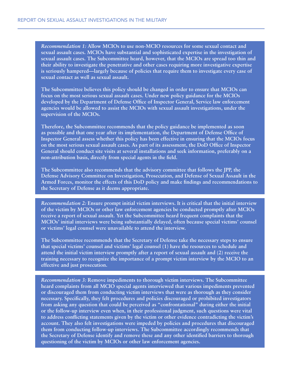*Recommendation 1:* **Allow MCIOs to use non-MCIO resources for some sexual contact and sexual assault cases. MCIOs have substantial and sophisticated expertise in the investigation of sexual assault cases. The Subcommittee heard, however, that the MCIOs are spread too thin and their ability to investigate the penetrative and other cases requiring more investigative expertise is seriously hampered—largely because of policies that require them to investigate every case of sexual contact as well as sexual assault.**

**The Subcommittee believes this policy should be changed in order to ensure that MCIOs can focus on the most serious sexual assault cases. Under new policy guidance for the MCIOs developed by the Department of Defense Office of Inspector General, Service law enforcement agencies would be allowed to assist the MCIOs with sexual assault investigations, under the supervision of the MCIOs.**

**Therefore, the Subcommittee recommends that the policy guidance be implemented as soon as possible and that one year after its implementation, the Department of Defense Office of Inspector General assess whether this policy has been effective in ensuring that the MCIOs focus on the most serious sexual assault cases. As part of its assessment, the DoD Office of Inspector General should conduct site visits at several installations and seek information, preferably on a non-attribution basis, directly from special agents in the field.**

**The Subcommittee also recommends that the advisory committee that follows the JPP, the Defense Advisory Committee on Investigation, Prosecution, and Defense of Sexual Assault in the Armed Forces, monitor the effects of this DoD policy and make findings and recommendations to the Secretary of Defense as it deems appropriate.**

*Recommendation 2:* **Ensure prompt initial victim interviews. It is critical that the initial interview of the victim by MCIOs or other law enforcement agencies be conducted promptly after MCIOs receive a report of sexual assault. Yet the Subcommittee heard frequent complaints that the MCIOs' initial interviews were being substantially delayed, often because special victims' counsel or victims' legal counsel were unavailable to attend the interview.**

**The Subcommittee recommends that the Secretary of Defense take the necessary steps to ensure that special victims' counsel and victims' legal counsel (1) have the resources to schedule and attend the initial victim interview promptly after a report of sexual assault and (2) receive the training necessary to recognize the importance of a prompt victim interview by the MCIO to an effective and just prosecution.**

*Recommendation 3:* **Remove impediments to thorough victim interviews. The Subcommittee heard complaints from all MCIO special agents interviewed that various impediments prevented or discouraged them from conducting victim interviews that were as thorough as they consider necessary. Specifically, they felt procedures and policies discouraged or prohibited investigators from asking any question that could be perceived as "confrontational" during either the initial or the follow-up interview even when, in their professional judgment, such questions were vital to address conflicting statements given by the victim or other evidence contradicting the victim's account. They also felt investigations were impeded by policies and procedures that discouraged them from conducting follow-up interviews. The Subcommittee accordingly recommends that the Secretary of Defense identify and remove these and any other identified barriers to thorough questioning of the victim by MCIOs or other law enforcement agencies.**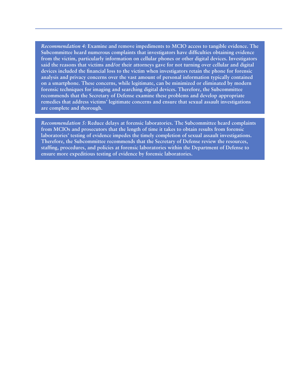*Recommendation 4:* **Examine and remove impediments to MCIO access to tangible evidence. The Subcommittee heard numerous complaints that investigators have difficulties obtaining evidence from the victim, particularly information on cellular phones or other digital devices. Investigators said the reasons that victims and/or their attorneys gave for not turning over cellular and digital devices included the financial loss to the victim when investigators retain the phone for forensic analysis and privacy concerns over the vast amount of personal information typically contained on a smartphone. These concerns, while legitimate, can be minimized or eliminated by modern forensic techniques for imaging and searching digital devices. Therefore, the Subcommittee recommends that the Secretary of Defense examine these problems and develop appropriate remedies that address victims' legitimate concerns and ensure that sexual assault investigations are complete and thorough.**

*Recommendation 5:* **Reduce delays at forensic laboratories. The Subcommittee heard complaints from MCIOs and prosecutors that the length of time it takes to obtain results from forensic laboratories' testing of evidence impedes the timely completion of sexual assault investigations. Therefore, the Subcommittee recommends that the Secretary of Defense review the resources, staffing, procedures, and policies at forensic laboratories within the Department of Defense to ensure more expeditious testing of evidence by forensic laboratories.**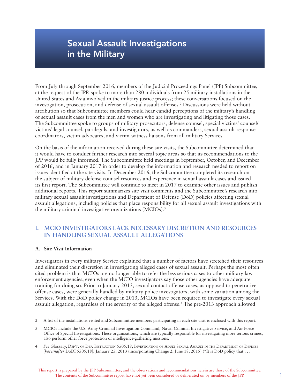# Sexual Assault Investigations in the Military

From July through September 2016, members of the Judicial Proceedings Panel (JPP) Subcommittee, at the request of the JPP, spoke to more than 280 individuals from 25 military installations in the United States and Asia involved in the military justice process; these conversations focused on the investigation, prosecution, and defense of sexual assault offenses.2 Discussions were held without attribution so that Subcommittee members could hear candid perceptions of the military's handling of sexual assault cases from the men and women who are investigating and litigating those cases. The Subcommittee spoke to groups of military prosecutors, defense counsel, special victims' counsel/ victims' legal counsel, paralegals, and investigators, as well as commanders, sexual assault response coordinators, victim advocates, and victim-witness liaisons from all military Services.

On the basis of the information received during these site visits, the Subcommittee determined that it would have to conduct further research into several topic areas so that its recommendations to the JPP would be fully informed. The Subcommittee held meetings in September, October, and December of 2016, and in January 2017 in order to develop the information and research needed to report on issues identified at the site visits. In December 2016, the Subcommittee completed its research on the subject of military defense counsel resources and experience in sexual assault cases and issued its first report. The Subcommittee will continue to meet in 2017 to examine other issues and publish additional reports. This report summarizes site visit comments and the Subcommittee's research into military sexual assault investigations and Department of Defense (DoD) policies affecting sexual assault allegations, including policies that place responsibility for all sexual assault investigations with the military criminal investigative organizations (MCIOs).<sup>3</sup>

## **I. MCIO INVESTIGATORS LACK NECESSARY DISCRETION AND RESOURCES IN HANDLING SEXUAL ASSAULT ALLEGATIONS**

#### **A. Site Visit Information**

Investigators in every military Service explained that a number of factors have stretched their resources and eliminated their discretion in investigating alleged cases of sexual assault. Perhaps the most often cited problem is that MCIOs are no longer able to refer the less serious cases to other military law enforcement agencies, even when the MCIO investigators say those other agencies have adequate training for doing so. Prior to January 2013, sexual contact offense cases, as opposed to penetrative offense cases, were generally handled by military police investigators, with some variation among the Services. With the DoD policy change in 2013, MCIOs have been required to investigate every sexual assault allegation, regardless of the severity of the alleged offense.4 The pre-2013 approach allowed

<sup>2</sup> A list of the installations visited and Subcommittee members participating in each site visit is enclosed with this report.

<sup>3</sup> MCIOs include the U.S. Army Criminal Investigation Command, Naval Criminal Investigative Service, and Air Force Office of Special Investigations. These organizations, which are typically responsible for investigating more serious crimes, also perform other force protection or intelligence-gathering missions.

<sup>4</sup> *See* Glossary, Dep't. of Def. Instruction 5505.18, Investigation of Adult Sexual Assault in the Department of Defense [*hereinafter* DoDI 5505.18], January 25, 2013 (incorporating Change 2, June 18, 2015) ("It is DoD policy that . . .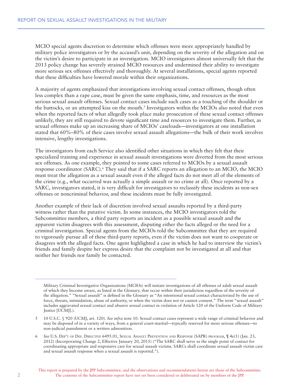MCIO special agents discretion to determine which offenses were more appropriately handled by military police investigators or by the accused's unit, depending on the severity of the allegation and on the victim's desire to participate in an investigation. MCIO investigators almost universally felt that the 2013 policy change has severely strained MCIO resources and undermined their ability to investigate more serious sex offenses effectively and thoroughly. At several installations, special agents reported that these difficulties have lowered morale within their organizations.

A majority of agents emphasized that investigations involving sexual contact offenses, though often less complex than a rape case, must be given the same emphasis, time, and resources as the most serious sexual assault offenses. Sexual contact cases include such cases as a touching of the shoulder or the buttocks, or an attempted kiss on the mouth.<sup>5</sup> Investigators within the MCIOs also noted that even when the reported facts of what allegedly took place make prosecution of these sexual contact offenses unlikely, they are still required to devote significant time and resources to investigate them. Further, as sexual offenses make up an increasing share of MCIOs' caseloads—investigators at one installation stated that 60%–80% of their cases involve sexual assault allegations—the bulk of their work involves intensive, lengthy investigations.

The investigators from each Service also identified other situations in which they felt that their specialized training and experience in sexual assault investigations were diverted from the most serious sex offenses. As one example, they pointed to some cases referred to MCIOs by a sexual assault response coordinator (SARC).<sup>6</sup> They said that if a SARC reports an allegation to an MCIO, the MCIO must treat the allegation as a sexual assault even if the alleged facts do not meet all of the elements of the crime (e.g*.*, what occurred was actually a simple assault or no crime at all). Once reported by a SARC, investigators stated, it is very difficult for investigators to reclassify these incidents as non-sex offenses or noncriminal behavior, and these incidents must be fully investigated.

Another example of their lack of discretion involved sexual assaults reported by a third-party witness rather than the putative victim. In some instances, the MCIO investigators told the Subcommittee members, a third party reports an incident as a possible sexual assault and the apparent victim disagrees with this assessment, disputing either the facts alleged or the need for a criminal investigation. Special agents from the MCIOs told the Subcommittee that they are required to vigorously pursue all of these third-party reports, even if the victim does not want to cooperate or disagrees with the alleged facts. One agent highlighted a case in which he had to interview the victim's friends and family despite her express desire that the complaint not be investigated at all and that neither her friends nor family be contacted.

Military Criminal Investigative Organizations (MCIOs) will initiate investigations of all offenses of adult sexual assault of which they become aware, as listed in the Glossary, that occur within their jurisdiction regardless of the severity of the allegation." "Sexual assault" is defined in the Glossary as "An intentional sexual contact characterized by the use of force, threats, intimidation, abuse of authority, or when the victim does not or cannot consent." The term "sexual assault" includes aggravated sexual contact and abusive sexual contact in violation of Article 120 of the Uniform Code of Military Justice [UCMJ].).

<sup>5</sup> 10 U.S.C. § 920 (UCMJ, art. 120). *See infra* note 10. Sexual contact cases represent a wide range of criminal behavior and may be disposed of in a variety of ways, from a general court-martial—typically reserved for more serious offenses—to non-judicial punishment or a written admonition.

<sup>6</sup> *See* U.S. Dep't of Def. Directive 6495.01, Sexual Assault Prevention and Response (SAPR) program, ¶ 4e(1) (Jan. 23, 2012) (Incorporating Change 2, Effective January 20, 2015) ("The SARC shall serve as the single point of contact for coordinating appropriate and responsive care for sexual assault victims. SARCs shall coordinate sexual assault victim care and sexual assault response when a sexual assault is reported.").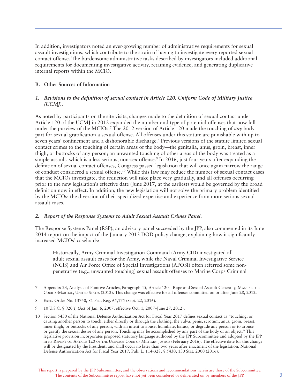In addition, investigators noted an ever-growing number of administrative requirements for sexual assault investigations, which contribute to the strain of having to investigate every reported sexual contact offense. The burdensome administrative tasks described by investigators included additional requirements for documenting investigative activity, retaining evidence, and generating duplicative internal reports within the MCIO.

#### **B. Other Sources of Information**

#### *1. Revisions to the definition of sexual contact in Article 120, Uniform Code of Military Justice (UCMJ).*

As noted by participants on the site visits, changes made to the definition of sexual contact under Article 120 of the UCMJ in 2012 expanded the number and type of potential offenses that now fall under the purview of the MCIOs.7 The 2012 version of Article 120 made the touching of *any* body part for sexual gratification a sexual offense. All offenses under this statute are punishable with up to seven years' confinement and a dishonorable discharge.<sup>8</sup> Previous versions of the statute limited sexual contact crimes to the touching of certain areas of the body—the genitalia, anus, groin, breast, inner thigh, or buttocks of any person; an unwanted touching of other areas of the body was treated as a simple assault, which is a less serious, non-sex offense.<sup>9</sup> In 2016, just four years after expanding the definition of sexual contact offenses, Congress passed legislation that will once again narrow the range of conduct considered a sexual offense.10 While this law may reduce the number of sexual contact cases that the MCIOs investigate, the reduction will take place very gradually, and all offenses occurring prior to the new legislation's effective date (June 2017, at the earliest) would be governed by the broad definition now in effect. In addition, the new legislation will not solve the primary problem identified by the MCIOs: the diversion of their specialized expertise and experience from more serious sexual assault cases.

#### *2. Report of the Response Systems to Adult Sexual Assault Crimes Panel.*

The Response Systems Panel (RSP), an advisory panel succeeded by the JPP, also commented in its June 2014 report on the impact of the January 2013 DOD policy change, explaining how it significantly increased MCIOs' caseloads:

Historically, Army Criminal Investigation Command (Army CID) investigated all adult sexual assault cases for the Army, while the Naval Criminal Investigative Service (NCIS) and Air Force Office of Special Investigations (AFOSI) often referred some nonpenetrative (e.g., unwanted touching) sexual assault offenses to Marine Corps Criminal

<sup>7</sup> Appendix 23, Analysis of Punitive Articles, Paragraph 45, Article 120—Rape and Sexual Assault Generally, Manual for Courts-Martial, United States (2012). This change was effective for all offenses committed on or after June 28, 2012.

<sup>8</sup> Exec. Order No. 13740, 81 Fed. Reg. 65,175 (Sept. 22, 2016).

<sup>9 10</sup> U.S.C. § 920(t) (Act of Jan. 6, 2007, effective Oct. 1, 2007–June 27, 2012).

<sup>10</sup> Section 5430 of the National Defense Authorization Act for Fiscal Year 2017 defines sexual contact as "touching, or causing another person to touch, either directly or through the clothing, the vulva, penis, scrotum, anus, groin, breast, inner thigh, or buttocks of any person, with an intent to abuse, humiliate, harass, or degrade any person or to arouse or gratify the sexual desire of any person. Touching may be accomplished by any part of the body or an object." This legislative provision incorporates proposed statutory language authored by the JPP Subcommittee and adopted by the JPP in its REPORT ON ARTICLE 120 OF THE UNIFORM CODE OF MILITARY JUSTICE (February 2016). The effective date for this change will be designated by the President, and shall occur no later than two years after enactment of the legislation. National Defense Authorization Act for Fiscal Year 2017, Pub. L. 114-328, § 5430, 130 Stat. 2000 (2016).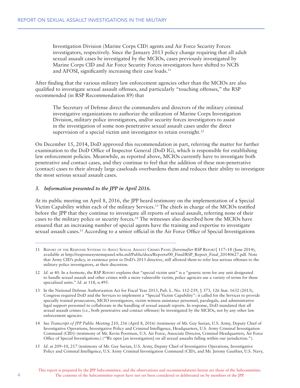Investigation Division (Marine Corps CID) agents and Air Force Security Forces investigators, respectively. Since the January 2013 policy change requiring that all adult sexual assault cases be investigated by the MCIOs, cases previously investigated by Marine Corps CID and Air Force Security Forces investigators have shifted to NCIS and AFOSI, significantly increasing their case loads.<sup>11</sup>

After finding that the various military law enforcement agencies other than the MCIOs are also qualified to investigate sexual assault offenses, and particularly "touching offenses," the RSP recommended (in RSP Recommendation 89) that

The Secretary of Defense direct the commanders and directors of the military criminal investigative organizations to authorize the utilization of Marine Corps Investigation Division, military police investigators, and/or security forces investigators to assist in the investigation of some non-penetrative sexual assault cases under the direct supervision of a special victim unit investigator to retain oversight.<sup>12</sup>

On December 15, 2014, DoD approved this recommendation in part, referring the matter for further examination to the DoD Office of Inspector General (DoD IG), which is responsible for establishing law enforcement policies. Meanwhile, as reported above, MCIOs currently have to investigate both penetrative and contact cases, and they continue to feel that the addition of these non-penetrative (contact) cases to their already large caseloads overburdens them and reduces their ability to investigate the most serious sexual assault cases.

#### *3. Information presented to the JPP in April 2016.*

At its public meeting on April 8, 2016, the JPP heard testimony on the implementation of a Special Victim Capability within each of the military Services.13 The chiefs in charge of the MCIOs testified before the JPP that they continue to investigate all reports of sexual assault, referring none of their cases to the military police or security forces.14 The witnesses also described how the MCIOs have ensured that an increasing number of special agents have the training and expertise to investigate sexual assault cases.<sup>15</sup> According to a senior official in the Air Force Office of Special Investigations

15 *Id*. at 209–10, 217 (testimony of Mr. Guy Surian, U.S. Army, Deputy Chief of Investigative Operations, Investigative Policy and Criminal Intelligence, U.S. Army Criminal Investigation Command (CID), and Mr. Jeremy Gauthier, U.S. Navy,

<sup>11</sup> Report of the Response Systems to Adult Sexual Assault Crimes Panel [*hereinafter* RSP Report] 117–18 (June 2014), available at http://responsesystemspanel.whs.mil/Public/docs/Reports/00\_Final/RSP\_Report\_Final\_20140627.pdf. Note that Army CID's policy, in existence prior to DoD's 2013 directive, still allowed them to refer less serious offenses to the military police investigators, at their discretion.

<sup>12</sup> *Id.* at 40. In a footnote, the RSP REPORT explains that "special victim unit" is a "generic term for any unit designated to handle sexual assault and other crimes with a more vulnerable victim; police agencies use a variety of terms for these specialized units." *Id.* at 118, n.495.

<sup>13</sup> In the National Defense Authorization Act for Fiscal Year 2013, Pub. L. No. 112-239, § 573, 126 Stat. 1632 (2013), Congress required DoD and the Services to implement a "Special Victim Capability": it called for the Services to provide specially trained prosecutors, MCIO investigators, victim witness assistance personnel, paralegals, and administrative legal support personnel to collaborate in the handling of sexual assault reports. In response, DoD mandated that all sexual assault crimes (i.e., both penetrative and contact offenses) be investigated by the MCIOs, not by any other law enforcement agencies.

<sup>14</sup> See *Transcript of JPP Public Meeting* 210, 216 (April 8, 2016) (testimony of Mr. Guy Surian, U.S. Army, Deputy Chief of Investigative Operations, Investigative Policy and Criminal Intelligence, Headquarters, U.S. Army Criminal Investigation Command (CID)) (testimony of Mr. Kevin Poorman, U.S. Air Force, Associate Director, Criminal Headquarters, Air Force Office of Special Investigations.) ("We open [an investigation] on all sexual assaults falling within our jurisdiction.").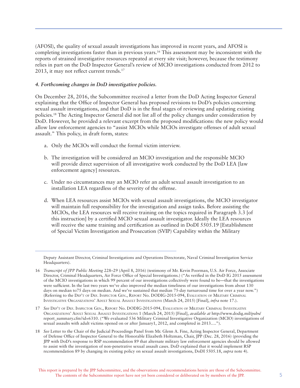(AFOSI), the quality of sexual assault investigations has improved in recent years, and AFOSI is completing investigations faster than in previous years.16 This assessment may be inconsistent with the reports of strained investigative resources repeated at every site visit; however, because the testimony relies in part on the DoD Inspector General's review of MCIO investigations conducted from 2012 to 2013, it may not reflect current trends.17

#### *4. Forthcoming changes in DoD investigative policies.*

On December 28, 2016, the Subcommittee received a letter from the DoD Acting Inspector General explaining that the Office of Inspector General has proposed revisions to DoD's policies concerning sexual assault investigations, and that DoD is in the final stages of reviewing and updating existing policies.18 The Acting Inspector General did not list all of the policy changes under consideration by DoD. However, he provided a relevant excerpt from the proposed modifications: the new policy would allow law enforcement agencies to "assist MCIOs while MCIOs investigate offenses of adult sexual assault." This policy, in draft form, states:

- a. Only the MCIOs will conduct the formal victim interview.
- b. The investigation will be considered an MCIO investigation and the responsible MCIO will provide direct supervision of all investigative work conducted by the DoD LEA [law enforcement agency] resources.
- c. Under no circumstances may an MCIO refer an adult sexual assault investigation to an installation LEA regardless of the severity of the offense.
- d. When LEA resources assist MCIOs with sexual assault investigations, the MCIO investigator will maintain full responsibility for the investigation and assign tasks. Before assisting the MCIOs, the LEA resources will receive training on the topics required in Paragraph 3.3 [of this instruction] by a certified MCIO sexual assault investigator. Ideally the LEA resources will receive the same training and certification as outlined in DoDI 5505.19 [Establishment] of Special Victim Investigation and Prosecution (SVIP) Capability within the Military

18 *See* Letter to the Chair of the Judicial Proceedings Panel from Mr. Glenn A. Fine, Acting Inspector General, Department of Defense Office of Inspector General to the Honorable Elizabeth Holtzman, Chair, JPP (Dec. 28, 2016) (providing the JPP with DoD's response to RSP recommendation 89 that alternate military law enforcement agencies should be allowed to assist with the investigation of non-penetrative sexual assault cases. DoD explained that it would implement RSP recommendation 89 by changing its existing policy on sexual assault investigations, DoDI 5505.18, *supra* note 4).

Deputy Assistant Director, Criminal Investigations and Operations Directorate, Naval Criminal Investigation Service Headquarters).

<sup>16</sup> *Transcript of JPP Public Meeting* 228–29 (April 8, 2016) (testimony of Mr. Kevin Poorman, U.S. Air Force, Associate Director, Criminal Headquarters, Air Force Office of Special Investigations.) ("As verified in the DoD IG 2015 assessment of the MCIO investigations in which 99 percent of our investigations collectively were found to be—that the investigations were sufficient. In the last two years we've also improved the median timeliness of our investigations from about 130 days on median to75 days on median. And we've sustained that median 75-day turnaround time for over a year now.") (Referring to the Dep't of Def. Inspector Gen., Report No. DODIG-2015-094, Evaluation of Military Criminal Investigative Organizations' Adult Sexual Assault Investigations (March 24, 2015) [Final], *infra* note 17.).

<sup>17</sup> *See* Dep't of Def. Inspector Gen., Report No. DODIG-2015-094, Evaluation of Military Criminal Investigative Organizations' Adult Sexual Assault Investigations 1 (March 24, 2015) [Final], *available at* http://www.dodig.mil/pubs/ report\_summary.cfm?id=6310. ("We evaluated 536 Military Criminal Investigative Organization (MCIO) investigations of sexual assaults with adult victims opened on or after January1, 2012, and completed in 2013….").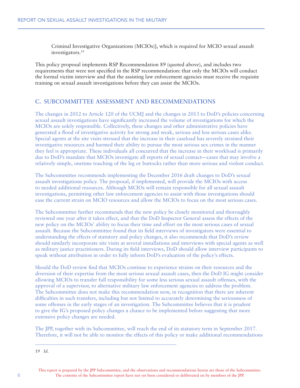Criminal Investigative Organizations (MCIOs)], which is required for MCIO sexual assault investigators.19

This policy proposal implements RSP Recommendation 89 (quoted above), and includes two requirements that were not specified in the RSP recommendation: that only the MCIOs will conduct the formal victim interview and that the assisting law enforcement agencies must receive the requisite training on sexual assault investigations before they can assist the MCIOs.

### **C. SUBCOMMITTEE ASSESSMENT AND RECOMMENDATIONS**

The changes in 2012 to Article 120 of the UCMJ and the changes in 2013 to DoD's policies concerning sexual assault investigations have significantly increased the volume of investigations for which the MCIOs are solely responsible. Collectively, these changes and other administrative policies have generated a flood of investigative activity for strong and weak, serious and less serious cases alike. Special agents at the site visits stressed that the increase in their caseload has severely strained their investigative resources and harmed their ability to pursue the most serious sex crimes in the manner they feel is appropriate. These individuals all concurred that the increase in their workload is primarily due to DoD's mandate that MCIOs investigate all reports of sexual contact—cases that may involve a relatively simple, onetime touching of the leg or buttocks rather than more serious and violent conduct.

The Subcommittee recommends implementing the December 2016 draft changes to DoD's sexual assault investigations policy. The proposal, if implemented, will provide the MCIOs with access to needed additional resources. Although MCIOs will remain responsible for all sexual assault investigations, permitting other law enforcement agencies to assist with those investigations should ease the current strain on MCIO resources and allow the MCIOs to focus on the most serious cases.

The Subcommittee further recommends that the new policy be closely monitored and thoroughly reviewed one year after it takes effect, and that the DoD Inspector General assess the effects of the new policy on the MCIOs' ability to focus their time and effort on the most serious cases of sexual assault. Because the Subcommittee found that its field interviews of investigators were essential to understanding the effects of statutory and policy changes, it also recommends that DoD's review should similarly incorporate site visits at several installations and interviews with special agents as well as military justice practitioners. During its field interviews, DoD should allow interview participants to speak without attribution in order to fully inform DoD's evaluation of the policy's effects.

Should the DoD review find that MCIOs continue to experience strains on their resources and the diversion of their expertise from the most serious sexual assault cases, then the DoD IG might consider allowing MCIOs to transfer full responsibility for some less serious sexual assault offenses, with the approval of a supervisor, to alternative military law enforcement agencies to address the problem. The Subcommittee does not make this recommendation now, in recognition that there are inherent difficulties in such transfers, including but not limited to accurately determining the seriousness of some offenses in the early stages of an investigation. The Subcommittee believes that it is prudent to give the IG's proposed policy changes a chance to be implemented before suggesting that more extensive policy changes are needed.

The JPP, together with its Subcommittee, will reach the end of its statutory term in September 2017. Therefore, it will not be able to monitor the effects of this policy or make additional recommendations

19 *Id*.

This report is prepared by the JPP Subcommittee, and the observations and recommendations herein are those of the Subcommittee. The contents of the Subcommittee report have not yet been considered or deliberated on by members of the JPP.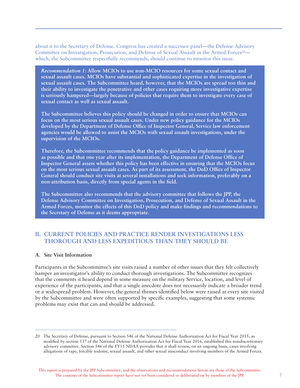about it to the Secretary of Defense. Congress has created a successor panel—the Defense Advisory Committee on Investigation, Prosecution, and Defense of Sexual Assault in the Armed Forces<sup>20</sup> which, the Subcommittee respectfully recommends, should continue to monitor this issue.

*Recommendation 1:* **Allow MCIOs to use non-MCIO resources for some sexual contact and sexual assault cases. MCIOs have substantial and sophisticated expertise in the investigation of sexual assault cases. The Subcommittee heard, however, that the MCIOs are spread too thin and their ability to investigate the penetrative and other cases requiring more investigative expertise is seriously hampered—largely because of policies that require them to investigate every case of sexual contact as well as sexual assault.** 

**The Subcommittee believes this policy should be changed in order to ensure that MCIOs can focus on the most serious sexual assault cases. Under new policy guidance for the MCIOs developed by the Department of Defense Office of Inspector General, Service law enforcement agencies would be allowed to assist the MCIOs with sexual assault investigations, under the supervision of the MCIOs.** 

**Therefore, the Subcommittee recommends that the policy guidance be implemented as soon as possible and that one year after its implementation, the Department of Defense Office of Inspector General assess whether this policy has been effective in ensuring that the MCIOs focus on the most serious sexual assault cases. As part of its assessment, the DoD Office of Inspector General should conduct site visits at several installations and seek information, preferably on a non-attribution basis, directly from special agents in the field.** 

**The Subcommittee also recommends that the advisory committee that follows the JPP, the Defense Advisory Committee on Investigation, Prosecution, and Defense of Sexual Assault in the Armed Forces, monitor the effects of this DoD policy and make findings and recommendations to the Secretary of Defense as it deems appropriate.**

### **II. CURRENT POLICIES AND PRACTICE RENDER INVESTIGATIONS LESS THOROUGH AND LESS EXPEDITIOUS THAN THEY SHOULD BE**

#### **A. Site Visit Information**

Participants in the Subcommittee's site visits raised a number of other issues that they felt collectively hamper an investigator's ability to conduct thorough investigations. The Subcommittee recognizes that the comments it heard depend in some measure on the military Service, location, and level of experience of the participants, and that a single anecdote does not necessarily indicate a broader trend or a widespread problem. However, the general themes identified below were raised at every site visited by the Subcommittee and were often supported by specific examples, suggesting that some systemic problems may exist that can and should be addressed.

<sup>20</sup> The Secretary of Defense, pursuant to Section 546 of the National Defense Authorization Act for Fiscal Year 2015, as modified by section 537 of the National Defense Authorization Act for Fiscal Year 2016, established this nondiscretionary advisory committee. Section 546 of the FY15 NDAA provides that it shall review, on an ongoing basis, cases involving allegations of rape, forcible sodomy, sexual assault, and other sexual misconduct involving members of the Armed Forces.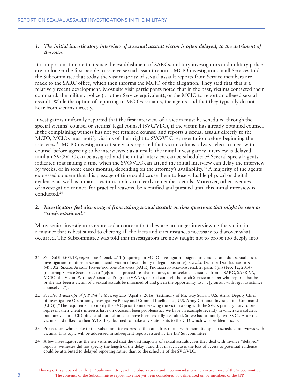#### *1. The initial investigatory interview of a sexual assault victim is often delayed, to the detriment of the case.*

It is important to note that since the establishment of SARCs, military investigators and military police are no longer the first people to receive sexual assault reports. MCIO investigators in all Services told the Subcommittee that today the vast majority of sexual assault reports from Service members are made to the SARC office, which then informs the MCIO of the allegation. They said that this is a relatively recent development. Most site visit participants noted that in the past, victims contacted their command, the military police (or other Service equivalent), or the MCIO to report an alleged sexual assault. While the option of reporting to MCIOs remains, the agents said that they typically do not hear from victims directly.

Investigators uniformly reported that the first interview of a victim must be scheduled through the special victims' counsel or victims' legal counsel (SVC/VLC), if the victim has already obtained counsel. If the complaining witness has not yet retained counsel and reports a sexual assault directly to the MCIO, MCIOs must notify victims of their right to SVC/VLC representation before beginning the interview.<sup>21</sup> MCIO investigators at site visits reported that victims almost always elect to meet with counsel before agreeing to be interviewed; as a result, the initial investigatory interview is delayed until an SVC/VLC can be assigned and the initial interview can be scheduled.<sup>22</sup> Several special agents indicated that finding a time when the SVC/VLC can attend the initial interview can delay the interview by weeks, or in some cases months, depending on the attorney's availability.23 A majority of the agents expressed concern that this passage of time could cause them to lose valuable physical or digital evidence, as well as impair a victim's ability to clearly remember details. Moreover, other avenues of investigation cannot, for practical reasons, be identified and pursued until this initial interview is conducted.24

#### *2. Investigators feel discouraged from asking sexual assault victims questions that might be seen as "confrontational."*

Many senior investigators expressed a concern that they are no longer interviewing the victim in a manner that is best suited to eliciting all the facts and circumstances necessary to discover what occurred. The Subcommittee was told that investigators are now taught not to probe too deeply into

- 23 Prosecutors who spoke to the Subcommittee expressed the same frustration with their attempts to schedule interviews with victims. This topic will be addressed in subsequent reports issued by the JPP Subcommittee.
- 24 A few investigators at the site visits noted that the vast majority of sexual assault cases they deal with involve "delayed" reports (witnesses did not specify the length of the delay), and that in such cases the loss of access to potential evidence could be attributed to delayed reporting rather than to the schedule of the SVC/VLC.

<sup>21</sup> *See* DoDI 5505.18, *supra* note 4, encl. 2.11 (requiring an MCIO investigator assigned to conduct an adult sexual assault investigation to inform a sexual assault victim of availability of legal assistance); *see also* Dep't of Def. Instruction 6495.02, Sexual Assault Prevention and Response (SAPR) Program Procedures, encl. 2, para. 6(m) (Feb. 12, 2014) (requiring Service Secretaries to "[e]stablish procedures that require, upon seeking assistance from a SARC, SAPR VA, MCIO, the Victim Witness Assistance Program (VWAP), or trial counsel, that each Service member who reports that he or she has been a victim of a sexual assault be informed of and given the opportunity to . . . [c]onsult with legal assistance  $counted \dots$ ").

<sup>22</sup> *See also Transcript of JPP Public Meeting* 215 (April 8, 2016) (testimony of Mr. Guy Surian, U.S. Army, Deputy Chief of Investigative Operations, Investigative Policy and Criminal Intelligence, U.S. Army Criminal Investigation Command (CID)) ("The requirement to notify the SVC prior to interviewing the victim along with the SVC's primary duty to best represent their client's interests have on occasion been problematic. We have an example recently in which two soldiers both arrived at a CID office and both claimed to have been sexually assaulted. So we had to notify two SVCs. After the victims had talked to their SVCs they declined to make any statements to the CID which was problematic.").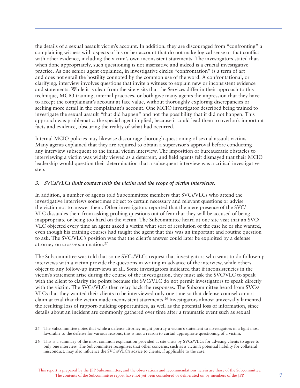the details of a sexual assault victim's account. In addition, they are discouraged from "confronting" a complaining witness with aspects of his or her account that do not make logical sense or that conflict with other evidence, including the victim's own inconsistent statements. The investigators stated that, when done appropriately, such questioning is not insensitive and indeed is a crucial investigative practice. As one senior agent explained, in investigative circles "confrontation" is a term of art and does not entail the hostility connoted by the common use of the word. A confrontational, or clarifying, interview involves questions that invite a witness to explain new or inconsistent evidence and statements. While it is clear from the site visits that the Services differ in their approach to this technique, MCIO training, internal practices, or both give many agents the impression that they have to accept the complainant's account at face value, without thoroughly exploring discrepancies or seeking more detail in the complainant's account. One MCIO investigator described being trained to investigate the sexual assault "that did happen" and not the possibility that it did not happen. This approach was problematic, the special agent implied, because it could lead them to overlook important facts and evidence, obscuring the reality of what had occurred.

Internal MCIO policies may likewise discourage thorough questioning of sexual assault victims. Many agents explained that they are required to obtain a supervisor's approval before conducting any interview subsequent to the initial victim interview. The imposition of bureaucratic obstacles to interviewing a victim was widely viewed as a deterrent, and field agents felt dismayed that their MCIO leadership would question their determination that a subsequent interview was a critical investigative step.

#### *3. SVCs/VLCs limit contact with the victim and the scope of victim interviews.*

In addition, a number of agents told Subcommittee members that SVCs/VLCs who attend the investigative interviews sometimes object to certain necessary and relevant questions or advise the victim not to answer them. Other investigators reported that the mere presence of the SVC/ VLC dissuades them from asking probing questions out of fear that they will be accused of being inappropriate or being too hard on the victim. The Subcommittee heard at one site visit that an SVC/ VLC objected every time an agent asked a victim what sort of resolution of the case he or she wanted, even though his training courses had taught the agent that this was an important and routine question to ask. The SVC/VLC's position was that the client's answer could later be exploited by a defense attorney on cross-examination.25

The Subcommittee was told that some SVCs/VLCs request that investigators who want to do follow-up interviews with a victim provide the questions in writing in advance of the interview, while others object to any follow-up interviews at all. Some investigators indicated that if inconsistencies in the victim's statement arise during the course of the investigation, they must ask the SVC/VLC to speak with the client to clarify the points because the SVC/VLC do not permit investigators to speak directly with the victim. The SVCs/VLCs then relay back the responses. The Subcommittee heard from SVCs/ VLCs that they wanted their clients to be interviewed only one time so that defense counsel cannot claim at trial that the victim made inconsistent statements.26 Investigators almost universally lamented the resulting loss of rapport-building opportunities, as well as the potential loss of information, since details about an incident are commonly gathered over time after a traumatic event such as sexual

<sup>25</sup> The Subcommittee notes that while a defense attorney might portray a victim's statement to investigators in a light most favorable to the defense for various reasons, this is not a reason to curtail appropriate questioning of a victim.

<sup>26</sup> This is a summary of the most common explanation provided at site visits by SVCs/VLCs for advising clients to agree to only one interview. The Subcommittee recognizes that other concerns, such as a victim's potential liability for collateral misconduct, may also influence the SVC's/VLC's advice to clients, if applicable to the case.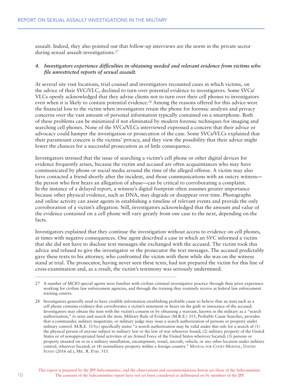assault. Indeed, they also pointed out that follow-up interviews are the norm in the private sector during sexual assault investigations.<sup>27</sup>

#### *4. Investigators experience difficulties in obtaining needed and relevant evidence from victims who file unrestricted reports of sexual assault.*

At several site visit locations, trial counsel and investigators recounted cases in which victims, on the advice of their SVC/VLC, declined to turn over potential evidence to investigators. Some SVCs/ VLCs openly acknowledged that they advise clients not to turn over their cell phones to investigators even when it is likely to contain potential evidence.<sup>28</sup> Among the reasons offered for this advice were the financial loss to the victim when investigators retain the phone for forensic analysis and privacy concerns over the vast amount of personal information typically contained on a smartphone. Both of these problems can be minimized if not eliminated by modern forensic techniques for imaging and searching cell phones. None of the SVCs/VLCs interviewed expressed a concern that their advice or advocacy could hamper the investigation or prosecution of the case. Some SVCs/VLCs explained that their paramount concern is the victims' privacy, and they view the possibility that their advice might lower the chances for a successful prosecution as of little consequence.

Investigators stressed that the issue of searching a victim's cell phone or other digital devices for evidence frequently arises, because the victim and accused are often acquaintances who may have communicated by phone or social media around the time of the alleged offense. A victim may also have contacted a friend shortly after the incident, and those communications with an outcry witness the person who first hears an allegation of abuse—can be critical to corroborating a complaint. In the instance of a delayed report, a witness's digital footprint often assumes greater importance because other physical evidence, such as DNA, may degrade or disappear over time. Photographs and online activity can assist agents in establishing a timeline of relevant events and provide the only corroboration of a victim's allegation. Still, investigators acknowledged that the amount and value of the evidence contained on a cell phone will vary greatly from one case to the next, depending on the facts.

Investigators explained that they continue the investigation without access to evidence on cell phones, at times with negative consequences. One agent described a case in which an SVC informed a victim that she did not have to disclose text messages she exchanged with the accused. The victim took this advice and refused to give the investigator or the prosecutor the text messages. The accused predictably gave these texts to his attorney, who confronted the victim with them while she was on the witness stand at trial. The prosecutor, having never seen these texts, had not prepared the victim for this line of cross-examination and, as a result, the victim's testimony was seriously undermined.

<sup>27</sup> A number of MCIO special agents were familiar with civilian criminal investigative practice through their prior experience working for civilian law enforcement agencies, and through the training they routinely receive at federal law enforcement training centers.

<sup>28</sup> Investigators generally need to have credible information establishing probable cause to believe that an item such as a cell phone contains evidence that corroborates a victim's statement or bears on the guilt or innocence of the accused. Investigators may obtain the item with the victim's consent or by obtaining a warrant, known in the military as a "search authorization," to seize and search the item. Military Rule of Evidence (M.R.E.) 315, Probable Cause Searches, provides that a commander, military magistrate, or military judge may issue a search authorization of persons or property under military control. M.R.E. 315(c) specifically states "a search authorization may be valid under this rule for a search of (1) the physical person of anyone subject to military law or the law of war wherever found; (2) military property of the United States or of nonappropriated fund activities of an Armed Force of the United States wherever located; (3) persons or property situated on or in a military installation, encampment, vessel, aircraft, vehicle, or any other location under military control, wherever located; or (4) nonmilitary property within a foreign country." MANUAL FOR COURT-MARTIAL, UNITED STATES (2016 ed.), MIL. R. EVID. 315.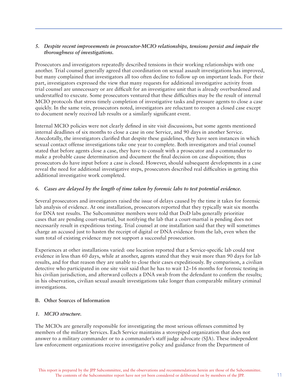#### *5. Despite recent improvements in prosecutor-MCIO relationships, tensions persist and impair the thoroughness of investigations.*

Prosecutors and investigators repeatedly described tensions in their working relationships with one another. Trial counsel generally agreed that coordination on sexual assault investigations has improved, but many complained that investigators all too often decline to follow up on important leads. For their part, investigators expressed the view that many requests for additional investigative activity from trial counsel are unnecessary or are difficult for an investigative unit that is already overburdened and understaffed to execute. Some prosecutors ventured that these difficulties may be the result of internal MCIO protocols that stress timely completion of investigative tasks and pressure agents to close a case quickly. In the same vein, prosecutors noted, investigators are reluctant to reopen a closed case except to document newly received lab results or a similarly significant event.

Internal MCIO policies were not clearly defined in site visit discussions, but some agents mentioned internal deadlines of six months to close a case in one Service, and 90 days in another Service. Anecdotally, the investigators clarified that despite these guidelines, they have seen instances in which sexual contact offense investigations take one year to complete. Both investigators and trial counsel stated that before agents close a case, they have to consult with a prosecutor and a commander to make a probable cause determination and document the final decision on case disposition; thus prosecutors do have input before a case is closed. However, should subsequent developments in a case reveal the need for additional investigative steps, prosecutors described real difficulties in getting this additional investigative work completed.

#### *6. Cases are delayed by the length of time taken by forensic labs to test potential evidence.*

Several prosecutors and investigators raised the issue of delays caused by the time it takes for forensic lab analysis of evidence. At one installation, prosecutors reported that they typically wait six months for DNA test results. The Subcommittee members were told that DoD labs generally prioritize cases that are pending court-martial, but notifying the lab that a court-martial is pending does not necessarily result in expeditious testing. Trial counsel at one installation said that they will sometimes charge an accused just to hasten the receipt of digital or DNA evidence from the lab, even when the sum total of existing evidence may not support a successful prosecution.

Experiences at other installations varied: one location reported that a Service-specific lab could test evidence in less than 60 days, while at another, agents stated that they wait more than 90 days for lab results, and for that reason they are unable to close their cases expeditiously. By comparison, a civilian detective who participated in one site visit said that he has to wait 12–16 months for forensic testing in his civilian jurisdiction, and afterward collects a DNA swab from the defendant to confirm the results; in his observation, civilian sexual assault investigations take longer than comparable military criminal investigations.

#### **B. Other Sources of Information**

#### *1. MCIO structure.*

The MCIOs are generally responsible for investigating the most serious offenses committed by members of the military Services. Each Service maintains a stovepiped organization that does not answer to a military commander or to a commander's staff judge advocate (SJA). These independent law enforcement organizations receive investigative policy and guidance from the Department of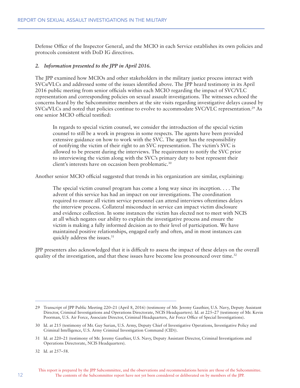Defense Office of the Inspector General, and the MCIO in each Service establishes its own policies and protocols consistent with DoD IG directives.

#### *2. Information presented to the JPP in April 2016.*

The JPP examined how MCIOs and other stakeholders in the military justice process interact with SVCs/VLCs and addressed some of the issues identified above. The JPP heard testimony in its April 2016 public meeting from senior officials within each MCIO regarding the impact of SVC/VLC representation and corresponding policies on sexual assault investigations. The witnesses echoed the concerns heard by the Subcommittee members at the site visits regarding investigative delays caused by SVCs/VLCs and noted that policies continue to evolve to accommodate SVC/VLC representation.29 As one senior MCIO official testified:

In regards to special victim counsel, we consider the introduction of the special victim counsel to still be a work in progress in some respects. The agents have been provided extensive guidance on how to work with the SVC. The agent has the responsibility of notifying the victim of their right to an SVC representation. The victim's SVC is allowed to be present during the interviews. The requirement to notify the SVC prior to interviewing the victim along with the SVC's primary duty to best represent their client's interests have on occasion been problematic.<sup>30</sup>

Another senior MCIO official suggested that trends in his organization are similar, explaining:

The special victim counsel program has come a long way since its inception. . . . The advent of this service has had an impact on our investigations. The coordination required to ensure all victim service personnel can attend interviews oftentimes delays the interview process. Collateral misconduct in service can impact victim disclosure and evidence collection. In some instances the victim has elected not to meet with NCIS at all which negates our ability to explain the investigative process and ensure the victim is making a fully informed decision as to their level of participation. We have maintained positive relationships, engaged early and often, and in most instances can quickly address the issues.<sup>31</sup>

JPP presenters also acknowledged that it is difficult to assess the impact of these delays on the overall quality of the investigation, and that these issues have become less pronounced over time.<sup>32</sup>

<sup>29</sup> Transcript of JPP Public Meeting 220–21 (April 8, 2016) (testimony of Mr. Jeremy Gauthier, U.S. Navy, Deputy Assistant Director, Criminal Investigations and Operations Directorate, NCIS Headquarters). Id. at 225–27 (testimony of Mr. Kevin Poorman, U.S. Air Force, Associate Director, Criminal Headquarters, Air Force Office of Special Investigations).

<sup>30</sup> Id. at 215 (testimony of Mr. Guy Surian, U.S. Army, Deputy Chief of Investigative Operations, Investigative Policy and Criminal Intelligence, U.S. Army Criminal Investigation Command (CID)).

<sup>31</sup> Id. at 220–21 (testimony of Mr. Jeremy Gauthier, U.S. Navy, Deputy Assistant Director, Criminal Investigations and Operations Directorate, NCIS Headquarters).

<sup>32</sup> Id. at 257–58.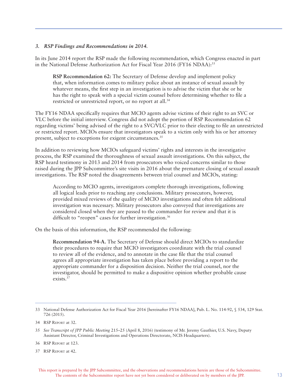#### *3. RSP Findings and Recommendations in 2014.*

In its June 2014 report the RSP made the following recommendation, which Congress enacted in part in the National Defense Authorization Act for Fiscal Year 2016 (FY16 NDAA):<sup>33</sup>

**RSP Recommendation 62:** The Secretary of Defense develop and implement policy that, when information comes to military police about an instance of sexual assault by whatever means, the first step in an investigation is to advise the victim that she or he has the right to speak with a special victim counsel before determining whether to file a restricted or unrestricted report, or no report at all.<sup>34</sup>

The FY16 NDAA specifically requires that MCIO agents advise victims of their right to an SVC or VLC before the initial interview. Congress did not adopt the portion of RSP Recommendation 62 regarding victims' being advised of the right to a SVC/VLC prior to their electing to file an unrestricted or restricted report. MCIOs ensure that investigators speak to a victim only with his or her attorney present, subject to exceptions for exigent circumstances.<sup>35</sup>

In addition to reviewing how MCIOs safeguard victims' rights and interests in the investigative process, the RSP examined the thoroughness of sexual assault investigations. On this subject, the RSP heard testimony in 2013 and 2014 from prosecutors who voiced concerns similar to those raised during the JPP Subcommittee's site visits in 2016 about the premature closing of sexual assault investigations. The RSP noted the disagreements between trial counsel and MCIOs, stating:

According to MCIO agents, investigators complete thorough investigations, following all logical leads prior to reaching any conclusions. Military prosecutors, however, provided mixed reviews of the quality of MCIO investigations and often felt additional investigation was necessary. Military prosecutors also conveyed that investigations are considered closed when they are passed to the commander for review and that it is difficult to "reopen" cases for further investigation.<sup>36</sup>

On the basis of this information, the RSP recommended the following:

**Recommendation 94-A.** The Secretary of Defense should direct MCIOs to standardize their procedures to require that MCIO investigators coordinate with the trial counsel to review all of the evidence, and to annotate in the case file that the trial counsel agrees all appropriate investigation has taken place before providing a report to the appropriate commander for a disposition decision. Neither the trial counsel, nor the investigator, should be permitted to make a dispositive opinion whether probable cause exists.37

<sup>33</sup> National Defense Authorization Act for Fiscal Year 2016 [hereinafter FY16 NDAA], Pub. L. No. 114-92, § 534, 129 Stat. 726 (2015).

<sup>34</sup> RSP Report at 32.

<sup>35</sup> *See Transcript of JPP Public Meeting* 215–25 (April 8, 2016) (testimony of Mr. Jeremy Gauthier, U.S. Navy, Deputy Assistant Director, Criminal Investigations and Operations Directorate, NCIS Headquarters).

<sup>36</sup> RSP Report at 123.

<sup>37</sup> RSP Report at 42.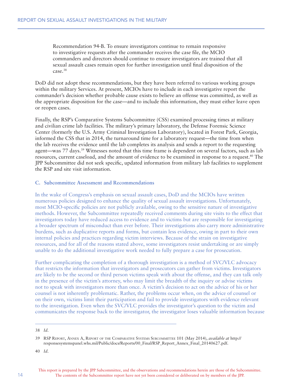Recommendation 94-B. To ensure investigators continue to remain responsive to investigative requests after the commander receives the case file, the MCIO commanders and directors should continue to ensure investigators are trained that all sexual assault cases remain open for further investigation until final disposition of the case.38

DoD did not adopt these recommendations, but they have been referred to various working groups within the military Services. At present, MCIOs have to include in each investigative report the commander's decision whether probable cause exists to believe an offense was committed, as well as the appropriate disposition for the case—and to include this information, they must either leave open or reopen cases.

Finally, the RSP's Comparative Systems Subcommittee (CSS) examined processing times at military and civilian crime lab facilities. The military's primary laboratory, the Defense Forensic Science Center (formerly the U.S. Army Criminal Investigation Laboratory), located in Forest Park, Georgia, informed the CSS that in 2014, the turnaround time for a laboratory request—the time from when the lab receives the evidence until the lab completes its analysis and sends a report to the requesting agent—was 77 days.<sup>39</sup> Witnesses noted that this time frame is dependent on several factors, such as lab resources, current caseload, and the amount of evidence to be examined in response to a request.40 The JPP Subcommittee did not seek specific, updated information from military lab facilities to supplement the RSP and site visit information.

#### **C. Subcommittee Assessment and Recommendations**

In the wake of Congress's emphasis on sexual assault cases, DoD and the MCIOs have written numerous policies designed to enhance the quality of sexual assault investigations. Unfortunately, most MCIO-specific policies are not publicly available, owing to the sensitive nature of investigative methods. However, the Subcommittee repeatedly received comments during site visits to the effect that investigators today have reduced access to evidence and to victims but are responsible for investigating a broader spectrum of misconduct than ever before. Their investigations also carry more administrative burdens, such as duplicative reports and forms, but contain less evidence, owing in part to their own internal policies and practices regarding victim interviews. Because of the strain on investigative resources, and for all of the reasons stated above, some investigators resist undertaking or are simply unable to do the additional investigative work needed to fully prepare a case for prosecution.

Further complicating the completion of a thorough investigation is a method of SVC/VLC advocacy that restricts the information that investigators and prosecutors can gather from victims. Investigators are likely to be the second or third person victims speak with about the offense, and they can talk only in the presence of the victim's attorney, who may limit the breadth of the inquiry or advise victims not to speak with investigators more than once. A victim's decision to act on the advice of his or her counsel is not inherently problematic. Rather, the problems occur when, on the advice of counsel or on their own, victims limit their participation and fail to provide investigators with evidence relevant to the investigation. Even when the SVC/VLC provides the investigator's question to the victim and communicates the response back to the investigator, the investigator loses valuable information because

<sup>38</sup> *Id*.

<sup>39</sup> RSP Report, Annex A, Report of the Comparative Systems Subcommittee 101 (May 2014), *available at* http:// responsesystemspanel.whs.mil/Public/docs/Reports/00\_Final/RSP\_Report\_Annex\_Final\_20140627.pdf.

<sup>40</sup> *Id*.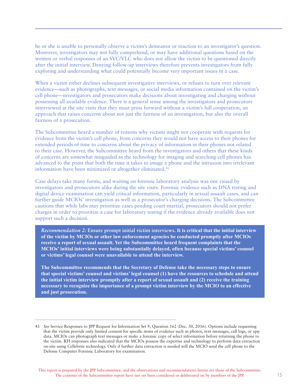he or she is unable to personally observe a victim's demeanor or reaction to an investigator's question. Moreover, investigators may not fully comprehend, or may have additional questions based on the written or verbal responses of an SVC/VLC who does not allow the victim to be questioned directly after the initial interview. Denying follow-up interviews therefore prevents investigators from fully exploring and understanding what could potentially become very important issues in a case.

When a victim either declines subsequent investigative interviews, or refuses to turn over relevant evidence—such as photographs, text messages, or social media information contained on the victim's cell phone—investigators and prosecutors make decisions about investigating and charging without possessing all available evidence. There is a general sense among the investigators and prosecutors interviewed at the site visits that they must press forward without a victim's full cooperation, an approach that raises concerns about not just the fairness of an investigation, but also the overall fairness of a prosecution.

The Subcommittee heard a number of reasons why victims might not cooperate with requests for evidence from the victim's cell phone, from concerns they would not have access to their phones for extended periods of time to concerns about the privacy of information in their phones not related to their case. However, the Subcommittee heard from the investigators and others that these kinds of concerns are somewhat misguided as the technology for imaging and searching cell phones has advanced to the point that both the time it takes to image a phone and the intrusion into irrelevant information have been minimized or altogether eliminated.<sup>41</sup>

Case delays take many forms, and waiting on forensic laboratory analysis was one raised by investigators and prosecutors alike during the site visits. Forensic evidence such as DNA testing and digital device examination can yield critical information, particularly in sexual assault cases, and can further guide MCIOs' investigation as well as a prosecutor's charging decisions. The Subcommittee cautions that while labs may prioritize cases pending court-martial, prosecutors should not prefer charges in order to prioritize a case for laboratory testing if the evidence already available does not support such a decision.

*Recommendation 2:* **Ensure prompt initial victim interviews. It is critical that the initial interview of the victim by MCIOs or other law enforcement agencies be conducted promptly after MCIOs receive a report of sexual assault. Yet the Subcommittee heard frequent complaints that the MCIOs' initial interviews were being substantially delayed, often because special victims' counsel or victims' legal counsel were unavailable to attend the interview.** 

**The Subcommittee recommends that the Secretary of Defense take the necessary steps to ensure that special victims' counsel and victims' legal counsel (1) have the resources to schedule and attend the initial victim interview promptly after a report of sexual assault and (2) receive the training necessary to recognize the importance of a prompt victim interview by the MCIO to an effective and just prosecution.**

<sup>41</sup> *See* Service Responses to JPP Request for Information Set 9, Question 162 (Dec. 30, 2016). Options include requesting that the victim provide only limited consent for specific items of evidence such as photos, text messages, call logs, or app data. MCIOs can photograph text messages or make a forensic copy of select information before returning the phone to the victim. RFI responses also indicated that the MCIOs possess the expertise and technology to perform data extraction on-site using Cellebrite technology. Only if further data extraction is needed will the MCIO send the cell phone to the Defense Computer Forensic Laboratory for examination.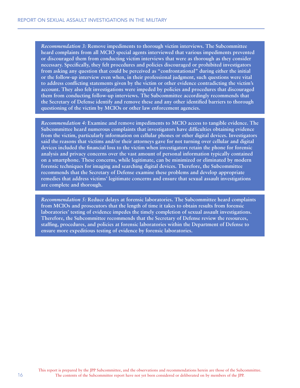*Recommendation 3:* **Remove impediments to thorough victim interviews. The Subcommittee heard complaints from all MCIO special agents interviewed that various impediments prevented or discouraged them from conducting victim interviews that were as thorough as they consider necessary. Specifically, they felt procedures and policies discouraged or prohibited investigators from asking any question that could be perceived as "confrontational" during either the initial or the follow-up interview even when, in their professional judgment, such questions were vital to address conflicting statements given by the victim or other evidence contradicting the victim's account. They also felt investigations were impeded by policies and procedures that discouraged them from conducting follow-up interviews. The Subcommittee accordingly recommends that the Secretary of Defense identify and remove these and any other identified barriers to thorough questioning of the victim by MCIOs or other law enforcement agencies.**

*Recommendation 4:* **Examine and remove impediments to MCIO access to tangible evidence. The Subcommittee heard numerous complaints that investigators have difficulties obtaining evidence from the victim, particularly information on cellular phones or other digital devices. Investigators said the reasons that victims and/or their attorneys gave for not turning over cellular and digital devices included the financial loss to the victim when investigators retain the phone for forensic analysis and privacy concerns over the vast amount of personal information typically contained on a smartphone. These concerns, while legitimate, can be minimized or eliminated by modern forensic techniques for imaging and searching digital devices. Therefore, the Subcommittee recommends that the Secretary of Defense examine these problems and develop appropriate remedies that address victims' legitimate concerns and ensure that sexual assault investigations are complete and thorough.**

*Recommendation 5:* **Reduce delays at forensic laboratories. The Subcommittee heard complaints from MCIOs and prosecutors that the length of time it takes to obtain results from forensic laboratories' testing of evidence impedes the timely completion of sexual assault investigations. Therefore, the Subcommittee recommends that the Secretary of Defense review the resources, staffing, procedures, and policies at forensic laboratories within the Department of Defense to ensure more expeditious testing of evidence by forensic laboratories.**